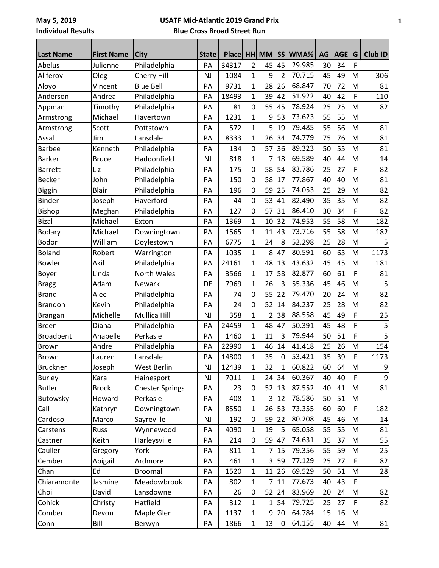| <b>Last Name</b> | <b>First Name</b> | <b>City</b>            | <b>State</b> | <b>Place</b> |                | HH MM          | <b>SS</b>      | WMA%   | AG | AGE | G           | Club ID     |
|------------------|-------------------|------------------------|--------------|--------------|----------------|----------------|----------------|--------|----|-----|-------------|-------------|
| Abelus           | Julienne          | Philadelphia           | PA           | 34317        | 2              | 45             | 45             | 29.985 | 30 | 34  | F           |             |
| Aliferov         | Oleg              | Cherry Hill            | <b>NJ</b>    | 1084         | $\mathbf{1}$   | 9              | $\overline{2}$ | 70.715 | 45 | 49  | M           | 306         |
| Aloyo            | Vincent           | <b>Blue Bell</b>       | PA           | 9731         | $\mathbf 1$    | 28             | 26             | 68.847 | 70 | 72  | M           | 81          |
| Anderson         | Andrea            | Philadelphia           | PA           | 18493        | $\overline{1}$ | 39             | 42             | 51.922 | 40 | 42  | F           | 110         |
| Appman           | Timothy           | Philadelphia           | PA           | 81           | 0              | 55             | 45             | 78.924 | 25 | 25  | M           | 82          |
| Armstrong        | Michael           | Havertown              | PA           | 1231         | $\mathbf 1$    | 9              | 53             | 73.623 | 55 | 55  | M           |             |
| Armstrong        | Scott             | Pottstown              | PA           | 572          | $\overline{1}$ | 5              | 19             | 79.485 | 55 | 56  | M           | 81          |
| Assal            | Jim               | Lansdale               | PA           | 8333         | 1              | 26             | 34             | 74.779 | 75 | 76  | M           | 81          |
| <b>Barbee</b>    | Kenneth           | Philadelphia           | PA           | 134          | $\mathbf 0$    | 57             | 36             | 89.323 | 50 | 55  | M           | 81          |
| <b>Barker</b>    | <b>Bruce</b>      | Haddonfield            | <b>NJ</b>    | 818          | 1              | 7              | 18             | 69.589 | 40 | 44  | M           | 14          |
| <b>Barrett</b>   | Liz               | Philadelphia           | PA           | 175          | 0              | 58             | 54             | 83.786 | 25 | 27  | F           | 82          |
| <b>Becker</b>    | John              | Philadelphia           | PA           | 150          | $\overline{0}$ | 58             | 17             | 77.867 | 40 | 40  | M           | 81          |
| Biggin           | <b>Blair</b>      | Philadelphia           | PA           | 196          | $\mathbf 0$    | 59             | 25             | 74.053 | 25 | 29  | M           | 82          |
| <b>Binder</b>    | Joseph            | Haverford              | PA           | 44           | $\mathbf 0$    | 53             | 41             | 82.490 | 35 | 35  | M           | 82          |
| <b>Bishop</b>    | Meghan            | Philadelphia           | PA           | 127          | 0              | 57             | 31             | 86.410 | 30 | 34  | F           | 82          |
| <b>Bizal</b>     | Michael           | Exton                  | PA           | 1369         | $\overline{1}$ | 10             | 32             | 74.953 | 55 | 58  | M           | 182         |
| <b>Bodary</b>    | Michael           | Downingtown            | PA           | 1565         | 1              | 11             | 43             | 73.716 | 55 | 58  | M           | 182         |
| <b>Bodor</b>     | William           | Doylestown             | PA           | 6775         | $\mathbf 1$    | 24             | 8              | 52.298 | 25 | 28  | M           |             |
| <b>Boland</b>    | Robert            | Warrington             | PA           | 1035         | $\overline{1}$ | 8              | 47             | 80.591 | 60 | 63  | M           | 1173        |
| <b>Bowler</b>    | Akil              | Philadelphia           | PA           | 24161        | 1              | 48             | 13             | 43.632 | 45 | 45  | M           | 181         |
| <b>Boyer</b>     | Linda             | North Wales            | PA           | 3566         | 1              | 17             | 58             | 82.877 | 60 | 61  | F           | 81          |
| <b>Bragg</b>     | Adam              | Newark                 | DE           | 7969         | 1              | 26             | 3              | 55.336 | 45 | 46  | M           |             |
| <b>Brand</b>     | Alec              | Philadelphia           | PA           | 74           | $\mathbf 0$    | 55             | 22             | 79.470 | 20 | 24  | M           | 82          |
| <b>Brandon</b>   | Kevin             | Philadelphia           | PA           | 24           | 0              | 52             | 14             | 84.237 | 25 | 28  | M           | 82          |
| <b>Brangan</b>   | Michelle          | Mullica Hill           | <b>NJ</b>    | 358          | $\overline{1}$ | $\overline{2}$ | 38             | 88.558 | 45 | 49  | F           | 25          |
| <b>Breen</b>     | Diana             | Philadelphia           | PA           | 24459        | $\overline{1}$ | 48             | 47             | 50.391 | 45 | 48  | F           | 5           |
| <b>Broadbent</b> | Anabelle          | Perkasie               | PA           | 1460         | 1              | 11             | 3              | 79.944 | 50 | 51  | F           | 5           |
| <b>Brown</b>     | Andre             | Philadelphia           | PA           | 22990        | $\mathbf{1}$   | 46             | 14             | 41.418 | 25 | 26  | M           | 154         |
| Brown            | Lauren            | Lansdale               | PA           | 14800        | 1              | 35             | 0              | 53.421 | 35 | 39  | $\mathsf F$ | 1173        |
| <b>Bruckner</b>  | Joseph            | West Berlin            | NJ           | 12439        | 1              | 32             | $\mathbf{1}$   | 60.822 | 60 | 64  | M           | $\mathsf 9$ |
| <b>Burley</b>    | Kara              | Hainesport             | <b>NJ</b>    | 7011         | 1              | 24             | 34             | 60.367 | 40 | 40  | $\mathsf F$ | 9           |
| <b>Butler</b>    | <b>Brock</b>      | <b>Chester Springs</b> | PA           | 23           | $\pmb{0}$      | 52             | 13             | 87.552 | 40 | 41  | M           | 81          |
| Butowsky         | Howard            | Perkasie               | PA           | 408          | 1              | 3 <sup>1</sup> | 12             | 78.586 | 50 | 51  | M           |             |
| Call             | Kathryn           | Downingtown            | PA           | 8550         | 1              | 26             | 53             | 73.355 | 60 | 60  | F           | 182         |
| Cardoso          | Marco             | Sayreville             | NJ           | 192          | $\mathbf 0$    | 59             | 22             | 80.208 | 45 | 46  | M           | 14          |
| Carstens         | Russ              | Wynnewood              | PA           | 4090         | 1              | 19             | 5              | 65.058 | 55 | 55  | M           | 81          |
| Castner          | Keith             | Harleysville           | PA           | 214          | $\mathbf 0$    | 59             | 47             | 74.631 | 35 | 37  | M           | 55          |
| Cauller          | Gregory           | York                   | PA           | 811          | 1              | 7              | 15             | 79.356 | 55 | 59  | M           | 25          |
| Cember           | Abigail           | Ardmore                | PA           | 461          | 1              | $\overline{3}$ | 59             | 77.129 | 25 | 27  | F           | 82          |
| Chan             | Ed                | <b>Broomall</b>        | PA           | 1520         | 1              | 11             | 26             | 69.529 | 50 | 51  | M           | 28          |
| Chiaramonte      | Jasmine           | Meadowbrook            | PA           | 802          | 1              | 7              | 11             | 77.673 | 40 | 43  | F           |             |
| Choi             | David             | Lansdowne              | PA           | 26           | $\pmb{0}$      | 52             | 24             | 83.969 | 20 | 24  | M           | 82          |
| Cohick           | Christy           | Hatfield               | PA           | 312          | 1              | 1              | 54             | 79.725 | 25 | 27  | F           | 82          |
| Comber           | Devon             | Maple Glen             | PA           | 1137         | $\mathbf{1}$   | 9              | 20             | 64.784 | 15 | 16  | M           |             |
| Conn             | Bill              | Berwyn                 | PA           | 1866         | $\mathbf{1}$   | 13             | $\pmb{0}$      | 64.155 | 40 | 44  | ${\sf M}$   | 81          |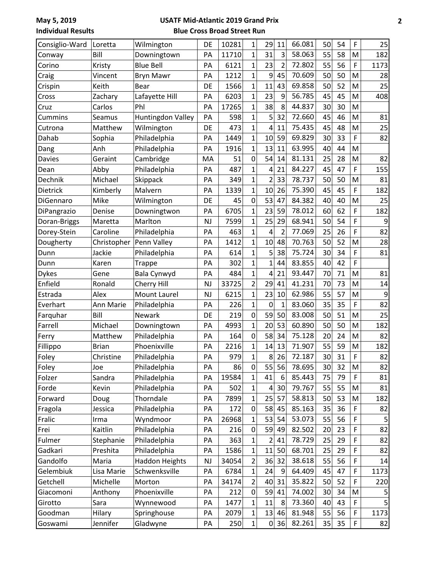| Consiglio-Ward | Loretta      | Wilmington            | DE        | 10281 | 1            | 29             | 11             | 66.081 | 50 | 54 | F | 25   |
|----------------|--------------|-----------------------|-----------|-------|--------------|----------------|----------------|--------|----|----|---|------|
| Conway         | Bill         | Downingtown           | PA        | 11710 | 1            | 31             | 3              | 58.063 | 55 | 58 | M | 182  |
| Corino         | Kristy       | <b>Blue Bell</b>      | PA        | 6121  | 1            | 23             | $\overline{2}$ | 72.802 | 55 | 56 | F | 1173 |
| Craig          | Vincent      | <b>Bryn Mawr</b>      | PA        | 1212  | 1            | 9              | 45             | 70.609 | 50 | 50 | M | 28   |
| Crispin        | Keith        | Bear                  | DE        | 1566  | 1            | 11             | 43             | 69.858 | 50 | 52 | M | 25   |
| Cross          | Zachary      | Lafayette Hill        | PA        | 6203  | 1            | 23             | 9              | 56.785 | 45 | 45 | M | 408  |
| Cruz           | Carlos       | Phl                   | PA        | 17265 | 1            | 38             | 8              | 44.837 | 30 | 30 | M |      |
| Cummins        | Seamus       | Huntingdon Valley     | PA        | 598   | $\mathbf 1$  | 5 <sup>1</sup> | 32             | 72.660 | 45 | 46 | M | 81   |
| Cutrona        | Matthew      | Wilmington            | DE        | 473   | 1            | 4              | 11             | 75.435 | 45 | 48 | M | 25   |
| Dahab          | Sophia       | Philadelphia          | PA        | 1449  | 1            | 10             | 59             | 69.829 | 30 | 33 | F | 82   |
| Dang           | Anh          | Philadelphia          | PA        | 1916  | 1            | 13             | 11             | 63.995 | 40 | 44 | M |      |
| Davies         | Geraint      | Cambridge             | MA        | 51    | $\mathbf 0$  | 54             | 14             | 81.131 | 25 | 28 | M | 82   |
| Dean           | Abby         | Philadelphia          | PA        | 487   | 1            | 4              | 21             | 84.227 | 45 | 47 | F | 155  |
| Dechnik        | Michael      | Skippack              | PA        | 349   | $\mathbf 1$  | $\overline{2}$ | 33             | 78.737 | 50 | 50 | M | 81   |
| Dietrick       | Kimberly     | Malvern               | PA        | 1339  | 1            | 10             | 26             | 75.390 | 45 | 45 | F | 182  |
| DiGennaro      | Mike         | Wilmington            | DE        | 45    | 0            | 53             | 47             | 84.382 | 40 | 40 | M | 25   |
| DiPangrazio    | Denise       | Downingtwon           | PA        | 6705  | $\mathbf 1$  | 23             | 59             | 78.012 | 60 | 62 | F | 182  |
| Doran-Briggs   | Maretta      | Marlton               | <b>NJ</b> | 7599  | 1            | 25             | 29             | 68.941 | 50 | 54 | F | 9    |
| Dorey-Stein    | Caroline     | Philadelphia          | PA        | 463   | 1            | 4              | $\overline{2}$ | 77.069 | 25 | 26 | F | 82   |
| Dougherty      | Christopher  | Penn Valley           | PA        | 1412  | $\mathbf 1$  | 10             | 48             | 70.763 | 50 | 52 | M | 28   |
| Dunn           | Jackie       | Philadelphia          | PA        | 614   | 1            | 5              | 38             | 75.724 | 30 | 34 | F | 81   |
| Dunn           | Karen        | <b>Trappe</b>         | PA        | 302   | 1            | 1              | 44             | 83.855 | 40 | 42 | F |      |
| <b>Dykes</b>   | Gene         | Bala Cynwyd           | PA        | 484   | $\mathbf 1$  | 4              | 21             | 93.447 | 70 | 71 | M | 81   |
| Enfield        | Ronald       | Cherry Hill           | <b>NJ</b> | 33725 | 2            | 29             | 41             | 41.231 | 70 | 73 | M | 14   |
| Estrada        | Alex         | Mount Laurel          | <b>NJ</b> | 6215  | 1            | 23             | 10             | 62.986 | 55 | 57 | M | 9    |
| Everhart       | Ann Marie    | Philadelphia          | PA        | 226   | 1            | 0              | 1              | 83.060 | 35 | 35 | F | 82   |
| Farquhar       | Bill         | Newark                | DE        | 219   | $\mathbf 0$  | 59             | 50             | 83.008 | 50 | 51 | M | 25   |
| Farrell        | Michael      | Downingtown           | PA        | 4993  | $\mathbf 1$  | 20             | 53             | 60.890 | 50 | 50 | M | 182  |
| Ferry          | Matthew      | Philadelphia          | PA        | 164   | 0            | 58             | 34             | 75.128 | 20 | 24 | M | 82   |
| Fillippo       | <b>Brian</b> | Phoenixville          | PA        | 2216  | 1            | 14             | 13             | 71.907 | 55 | 59 | M | 182  |
| Foley          | Christine    | Philadelphia          | PA        | 979   | 1            | 8              | 26             | 72.187 | 30 | 31 | F | 82   |
| Foley          | Joe          | Philadelphia          | PA        | 86    | $\mathbf 0$  | 55             | 56             | 78.695 | 30 | 32 | M | 82   |
| Folzer         | Sandra       | Philadelphia          | PA        | 19584 | $\mathbf{1}$ | 41             | 6              | 85.443 | 75 | 79 | F | 81   |
| Forde          | Kevin        | Philadelphia          | PA        | 502   | 1            | $\vert$        | 30             | 79.767 | 55 | 55 | M | 81   |
| Forward        | Doug         | Thorndale             | PA        | 7899  | 1            | 25             | 57             | 58.813 | 50 | 53 | M | 182  |
| Fragola        | Jessica      | Philadelphia          | PA        | 172   | $\mathbf 0$  | 58             | 45             | 85.163 | 35 | 36 | F | 82   |
| Fralic         | Irma         | Wyndmoor              | PA        | 26968 | 1            | 53             | 54             | 53.073 | 55 | 56 | F |      |
| Frei           | Kaitlin      | Philadelphia          | PA        | 216   | 0            | 59             | 49             | 82.502 | 20 | 23 | F | 82   |
| Fulmer         | Stephanie    | Philadelphia          | PA        | 363   | $\mathbf 1$  | $\overline{2}$ | 41             | 78.729 | 25 | 29 | F | 82   |
| Gadkari        | Preshita     | Philadelphia          | PA        | 1586  | 1            | 11             | 50             | 68.701 | 25 | 29 | F | 82   |
| Gandolfo       | Maria        | <b>Haddon Heights</b> | <b>NJ</b> | 34054 | 2            | 36             | 32             | 38.618 | 55 | 56 | F | 14   |
| Gelembiuk      | Lisa Marie   | Schwenksville         | PA        | 6784  | 1            | 24             | 9              | 64.409 | 45 | 47 | F | 1173 |
| Getchell       | Michelle     | Morton                | PA        | 34174 | 2            | 40             | 31             | 35.822 | 50 | 52 | F | 220  |
| Giacomoni      | Anthony      | Phoenixville          | PA        | 212   | $\pmb{0}$    | 59             | 41             | 74.002 | 30 | 34 | M | 5    |
| Girotto        | Sara         | Wynnewood             | PA        | 1477  | 1            | 11             | 8              | 73.360 | 40 | 43 | F |      |
| Goodman        | Hilary       | Springhouse           | PA        | 2079  | $\mathbf{1}$ | 13             | 46             | 81.948 | 55 | 56 | F | 1173 |
| Goswami        | Jennifer     | Gladwyne              | PA        | 250   | $\mathbf{1}$ | 0              | 36             | 82.261 | 35 | 35 | F | 82   |
|                |              |                       |           |       |              |                |                |        |    |    |   |      |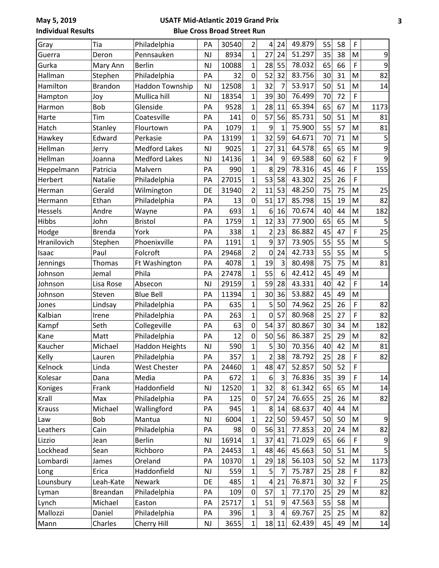| Gray          | Tia            | Philadelphia           | PA        | 30540 | 2              | 4              | 24             | 49.879 | 55 | 58 | F           |                |
|---------------|----------------|------------------------|-----------|-------|----------------|----------------|----------------|--------|----|----|-------------|----------------|
| Guerra        | Deron          | Pennsauken             | <b>NJ</b> | 8934  | $\mathbf{1}$   | 27             | 24             | 51.297 | 35 | 38 | M           | 9              |
| Gurka         | Mary Ann       | <b>Berlin</b>          | <b>NJ</b> | 10088 | $\mathbf{1}$   | 28             | 55             | 78.032 | 65 | 66 | F           | 9              |
| Hallman       | Stephen        | Philadelphia           | PA        | 32    | 0              | 52             | 32             | 83.756 | 30 | 31 | M           | 82             |
| Hamilton      | <b>Brandon</b> | <b>Haddon Township</b> | <b>NJ</b> | 12508 | $\mathbf 1$    | 32             | $\overline{7}$ | 53.917 | 50 | 51 | M           | 14             |
| Hampton       | Joy            | Mullica hill           | <b>NJ</b> | 18354 | $\overline{1}$ | 39             | 30             | 76.499 | 70 | 72 | F           |                |
| Harmon        | Bob            | Glenside               | PA        | 9528  | $\mathbf{1}$   | 28             | 11             | 65.394 | 65 | 67 | M           | 1173           |
| Harte         | Tim            | Coatesville            | PA        | 141   | $\mathbf 0$    | 57             | 56             | 85.731 | 50 | 51 | M           | 81             |
| Hatch         | Stanley        | Flourtown              | PA        | 1079  | $\mathbf{1}$   | 9              | 1              | 75.900 | 55 | 57 | M           | 81             |
| Hawkey        | Edward         | Perkasie               | PA        | 13199 | $\overline{1}$ | 32             | 59             | 64.671 | 70 | 71 | M           | 5              |
| Hellman       | Jerry          | <b>Medford Lakes</b>   | <b>NJ</b> | 9025  | 1              | 27             | 31             | 64.578 | 65 | 65 | M           | 9              |
| Hellman       | Joanna         | <b>Medford Lakes</b>   | <b>NJ</b> | 14136 | $\overline{1}$ | 34             | 9              | 69.588 | 60 | 62 | F           | 9              |
| Heppelmann    | Patricia       | Malvern                | PA        | 990   | $\overline{1}$ | 8              | 29             | 78.316 | 45 | 46 | F           | 155            |
| Herbert       | Natalie        | Philadelphia           | PA        | 27015 | $\mathbf{1}$   | 53             | 58             | 43.302 | 25 | 26 | F           |                |
| Herman        | Gerald         | Wilmington             | DE        | 31940 | $\overline{2}$ | 11             | 53             | 48.250 | 75 | 75 | M           | 25             |
| Hermann       | Ethan          | Philadelphia           | PA        | 13    | 0              | 51             | 17             | 85.798 | 15 | 19 | M           | 82             |
| Hessels       | Andre          | Wayne                  | PA        | 693   | $\overline{1}$ | 6              | 16             | 70.674 | 40 | 44 | M           | 182            |
| Hibbs         | John           | <b>Bristol</b>         | PA        | 1759  | $\overline{1}$ | 12             | 33             | 77.900 | 65 | 65 | M           | 5              |
| Hodge         | <b>Brenda</b>  | York                   | PA        | 338   | $\mathbf{1}$   | $\overline{2}$ | 23             | 86.882 | 45 | 47 | F           | 25             |
| Hranilovich   | Stephen        | Phoenixville           | PA        | 1191  | $\mathbf{1}$   | 9              | 37             | 73.905 | 55 | 55 | M           | 5              |
| Isaac         | Paul           | Folcroft               | PA        | 29468 | $\overline{2}$ | 0              | 24             | 42.733 | 55 | 55 | M           | 5              |
| Jennings      | Thomas         | Ft Washington          | PA        | 4078  | $\mathbf{1}$   | 19             | $\overline{3}$ | 80.498 | 75 | 75 | M           | 81             |
| Johnson       | Jemal          | Phila                  | PA        | 27478 | $\mathbf 1$    | 55             | 6              | 42.412 | 45 | 49 | M           |                |
| Johnson       | Lisa Rose      | Absecon                | <b>NJ</b> | 29159 | $\overline{1}$ | 59             | 28             | 43.331 | 40 | 42 | F           | 14             |
| Johnson       | Steven         | <b>Blue Bell</b>       | PA        | 11394 | $\overline{1}$ | 30             | 36             | 53.882 | 45 | 49 | M           |                |
| Jones         | Lindsay        | Philadelphia           | PA        | 635   | $\mathbf{1}$   | 5              | 50             | 74.962 | 25 | 26 | F           | 82             |
| Kalbian       | Irene          | Philadelphia           | PA        | 263   | $\mathbf{1}$   | $\mathbf 0$    | 57             | 80.968 | 25 | 27 | F           | 82             |
| Kampf         | Seth           | Collegeville           | PA        | 63    | 0              | 54             | 37             | 80.867 | 30 | 34 | M           | 182            |
| Kane          | Matt           | Philadelphia           | PA        | 12    | 0              | 50             | 56             | 86.387 | 25 | 29 | M           | 82             |
| Kaucher       | Michael        | <b>Haddon Heights</b>  | <b>NJ</b> | 590   | $\mathbf{1}$   | 5              | 30             | 70.356 | 40 | 42 | M           | 81             |
| Kelly         | Lauren         | Philadelphia           | PA        | 357   | $\mathbf{1}$   |                | 2 38           | 78.792 | 25 | 28 | $\mathsf F$ | 82             |
| Kelnock       | Linda          | <b>West Chester</b>    | <b>PA</b> | 24460 | 1              | 48             | 47             | 52.857 | 50 | 52 | F           |                |
| Kolesar       | Dana           | Media                  | PA        | 672   | $\mathbf 1$    | 6              | 3              | 76.836 | 35 | 39 | F           | 14             |
| Koniges       | Frank          | Haddonfield            | NJ        | 12520 | $\mathbf{1}$   | 32             | 8              | 61.342 | 65 | 65 | M           | 14             |
| Krall         | Max            | Philadelphia           | PA        | 125   | 0              | 57             | 24             | 76.655 | 25 | 26 | M           | 82             |
| <b>Krauss</b> | Michael        | Wallingford            | PA        | 945   | 1              | 8              | 14             | 68.637 | 40 | 44 | M           |                |
| Law           | Bob            | Mantua                 | NJ        | 6004  | $\mathbf 1$    | 22             | 50             | 59.457 | 50 | 50 | M           | 9              |
| Leathers      | Cain           | Philadelphia           | PA        | 98    | $\pmb{0}$      | 56             | 31             | 77.853 | 20 | 24 | M           | 82             |
| Lizzio        | Jean           | <b>Berlin</b>          | NJ        | 16914 | 1              | 37             | 41             | 71.029 | 65 | 66 | F           | $\overline{9}$ |
| Lockhead      | Sean           | Richboro               | PA        | 24453 | 1              | 48             | 46             | 45.663 | 50 | 51 | M           |                |
| Lombardi      | James          | Oreland                | PA        | 10370 | 1              | 29             | 18             | 56.103 | 50 | 52 | M           | 1173           |
| Long          | Erica          | Haddonfield            | NJ        | 559   | 1              | 5              | 7              | 75.787 | 25 | 28 | F           | 82             |
| Lounsbury     | Leah-Kate      | Newark                 | DE        | 485   | $\mathbf{1}$   | 4              | 21             | 76.871 | 30 | 32 | F           | 25             |
| Lyman         | Breandan       | Philadelphia           | PA        | 109   | $\mathbf 0$    | 57             | $\mathbf{1}$   | 77.170 | 25 | 29 | M           | 82             |
| Lynch         | Michael        | Easton                 | PA        | 25717 | 1              | 51             | 9              | 47.563 | 55 | 58 | M           |                |
| Mallozzi      | Daniel         | Philadelphia           | PA        | 396   | $\mathbf 1$    | $\overline{3}$ | $\overline{4}$ | 69.767 | 25 | 25 | M           | 82             |
| Mann          | Charles        | Cherry Hill            | NJ        | 3655  | $\mathbf{1}$   |                | 18 11          | 62.439 | 45 | 49 | M           | 14             |
|               |                |                        |           |       |                |                |                |        |    |    |             |                |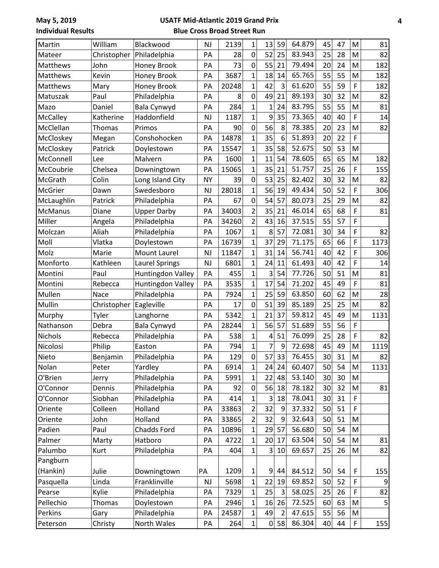| Martin         | William       | Blackwood             | <b>NJ</b> | 2139  | 1                       | 13             | 59             | 64.879 | 45 | 47 | M           | 81   |
|----------------|---------------|-----------------------|-----------|-------|-------------------------|----------------|----------------|--------|----|----|-------------|------|
| Mateer         | Christopher   | Philadelphia          | PA        | 28    | $\mathbf 0$             | 52             | 25             | 83.943 | 25 | 28 | M           | 82   |
| Matthews       | John          | Honey Brook           | PA        | 73    | $\mathbf 0$             | 55             | 21             | 79.494 | 20 | 24 | M           | 182  |
| Matthews       | Kevin         | Honey Brook           | PA        | 3687  | 1                       | 18             | 14             | 65.765 | 55 | 55 | M           | 182  |
| Matthews       | Mary          | Honey Brook           | PA        | 20248 | $\mathbf 1$             | 42             | 3              | 61.620 | 55 | 59 | F           | 182  |
| Matuszak       | Paul          | Philadelphia          | PA        | 8     | $\mathbf 0$             | 49             | 21             | 89.193 | 30 | 32 | M           | 82   |
| Mazo           | Daniel        | Bala Cynwyd           | PA        | 284   | 1                       | $\mathbf{1}$   | 24             | 83.795 | 55 | 55 | M           | 81   |
| McCalley       | Katherine     | Haddonfield           | <b>NJ</b> | 1187  | 1                       | 9              | 35             | 73.365 | 40 | 40 | F           | 14   |
| McClellan      | <b>Thomas</b> | Primos                | PA        | 90    | $\mathbf 0$             | 56             | 8              | 78.385 | 20 | 23 | M           | 82   |
| McCloskey      | Megan         | Conshohocken          | PA        | 14878 | 1                       | 35             | 6              | 51.893 | 20 | 22 | $\mathsf F$ |      |
| McCloskey      | Patrick       | Doylestown            | PA        | 15547 | $\mathbf{1}$            | 35             | 58             | 52.675 | 50 | 53 | M           |      |
| McConnell      | Lee           | Malvern               | PA        | 1600  | 1                       | 11             | 54             | 78.605 | 65 | 65 | M           | 182  |
| McCoubrie      | Chelsea       | Downingtown           | PA        | 15065 | 1                       | 35             | 21             | 51.757 | 25 | 26 | F           | 155  |
| McGrath        | Colin         | Long Island City      | <b>NY</b> | 39    | 0                       | 53             | 25             | 82.402 | 30 | 32 | M           | 82   |
| McGrier        | Dawn          | Swedesboro            | <b>NJ</b> | 28018 | 1                       | 56             | 19             | 49.434 | 50 | 52 | F           | 306  |
| McLaughlin     | Patrick       | Philadelphia          | PA        | 67    | 0                       | 54             | 57             | 80.073 | 25 | 29 | M           | 82   |
| <b>McManus</b> | Diane         | <b>Upper Darby</b>    | PA        | 34003 | $\overline{\mathbf{c}}$ | 35             | 21             | 46.014 | 65 | 68 | F           | 81   |
| Miller         | Angela        | Philadelphia          | PA        | 34260 | $\overline{2}$          | 43             | 16             | 37.515 | 55 | 57 | F           |      |
| Molczan        | Aliah         | Philadelphia          | PA        | 1067  | 1                       | 8              | 57             | 72.081 | 30 | 34 | F           | 82   |
| Moll           | Vlatka        | Doylestown            | PA        | 16739 | 1                       | 37             | 29             | 71.175 | 65 | 66 | F           | 1173 |
| Molz           | Marie         | Mount Laurel          | <b>NJ</b> | 11847 | 1                       | 31             | 14             | 56.741 | 40 | 42 | F           | 306  |
| Monforto       | Kathleen      | <b>Laurel Springs</b> | <b>NJ</b> | 6801  | 1                       | 24             | 11             | 61.493 | 40 | 42 | F           | 14   |
| Montini        | Paul          | Huntingdon Valley     | PA        | 455   | 1                       | 3              | 54             | 77.726 | 50 | 51 | M           | 81   |
| Montini        | Rebecca       | Huntingdon Valley     | PA        | 3535  | 1                       | 17             | 54             | 71.202 | 45 | 49 | F           | 81   |
| Mullen         | Nace          | Philadelphia          | PA        | 7924  | 1                       | 25             | 59             | 63.850 | 60 | 62 | M           | 28   |
| Mullin         | Christopher   | Eagleville            | PA        | 17    | $\mathbf 0$             | 51             | 39             | 85.189 | 25 | 25 | M           | 82   |
| Murphy         | Tyler         | Langhorne             | PA        | 5342  | $\overline{1}$          | 21             | 37             | 59.812 | 45 | 49 | M           | 1131 |
| Nathanson      | Debra         | Bala Cynwyd           | PA        | 28244 | 1                       | 56             | 57             | 51.689 | 55 | 56 | F           |      |
| <b>Nichols</b> | Rebecca       | Philadelphia          | PA        | 538   | 1                       | 4              | 51             | 76.099 | 25 | 28 | F           | 82   |
| Nicolosi       | Philip        | Easton                | PA        | 794   | 1                       | 7              | 9              | 72.698 | 45 | 49 | M           | 1119 |
| Nieto          | Benjamin      | Philadelphia          | PA        | 129   | $\mathbf 0$             | 57             | 33             | 76.455 | 30 | 31 | ${\sf M}$   | 82   |
| Nolan          | Peter         | Yardley               | PA        | 6914  | 1                       | 24             | 24             | 60.407 | 50 | 54 | M           | 1131 |
| O'Brien        | Jerry         | Philadelphia          | PA        | 5991  | 1                       | 22             | 48             | 53.140 | 30 | 30 | M           |      |
| O'Connor       | Dennis        | Philadelphia          | PA        | 92    | $\pmb{0}$               | 56             | 18             | 78.182 | 30 | 32 | M           | 81   |
| O'Connor       | Siobhan       | Philadelphia          | PA        | 414   | 1                       | 3              | 18             | 78.041 | 30 | 31 | $\mathsf F$ |      |
| Oriente        | Colleen       | Holland               | PA        | 33863 | 2                       | 32             | 9              | 37.332 | 50 | 51 | F           |      |
| Oriente        | John          | Holland               | PA        | 33865 | 2                       | 32             | 9              | 32.643 | 50 | 51 | M           |      |
| Padien         | Paul          | Chadds Ford           | PA        | 10896 | 1                       | 29             | 57             | 56.680 | 50 | 54 | M           |      |
| Palmer         | Marty         | Hatboro               | PA        | 4722  | 1                       | 20             | 17             | 63.504 | 50 | 54 | M           | 81   |
| Palumbo        | Kurt          | Philadelphia          | PA        | 404   | 1                       | 3 <sup>1</sup> | 10             | 69.657 | 25 | 26 | M           | 82   |
| Pangburn       |               |                       |           |       |                         |                |                |        |    |    |             |      |
| (Hankin)       | Julie         | Downingtown           | PA        | 1209  | 1                       | 9              | 44             | 84.512 | 50 | 54 | $\mathsf F$ | 155  |
| Pasquella      | Linda         | Franklinville         | NJ        | 5698  | $\mathbf{1}$            | 22             | 19             | 69.852 | 50 | 52 | F           | 9    |
| Pearse         | Kylie         | Philadelphia          | PA        | 7329  | 1                       | 25             | 3              | 58.025 | 25 | 26 | F           | 82   |
| Pellechio      | <b>Thomas</b> | Doylestown            | PA        | 2946  | 1                       | 16             | 26             | 72.525 | 60 | 63 | M           | 5    |
| Perkins        | Gary          | Philadelphia          | PA        | 24587 | 1                       | 49             | $\overline{2}$ | 47.615 | 55 | 56 | M           |      |
| Peterson       | Christy       | North Wales           | PA        | 264   | $\mathbf{1}$            | $\Omega$       | 58             | 86.304 | 40 | 44 | $\mathsf F$ | 155  |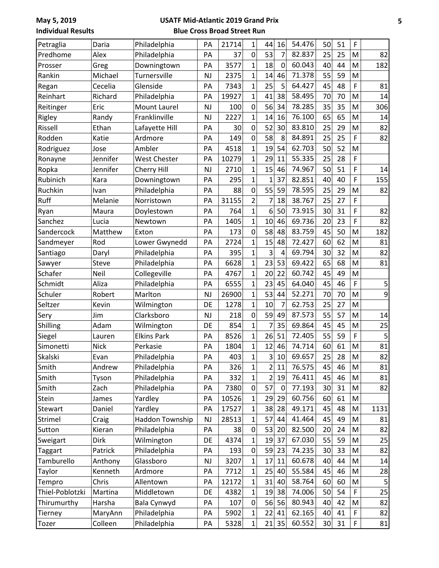| Petraglia       | Daria    | Philadelphia        | PA        | 21714 | $\mathbf{1}$   | 44             | 16              | 54.476 | 50 | 51 | F                                                                                                          |      |
|-----------------|----------|---------------------|-----------|-------|----------------|----------------|-----------------|--------|----|----|------------------------------------------------------------------------------------------------------------|------|
| Predhome        | Alex     | Philadelphia        | PA        | 37    | 0              | 53             | 7               | 82.837 | 25 | 25 | M                                                                                                          | 82   |
| Prosser         | Greg     | Downingtown         | PA        | 3577  | $\overline{1}$ | 18             | $\mathbf 0$     | 60.043 | 40 | 44 | M                                                                                                          | 182  |
| Rankin          | Michael  | Turnersville        | <b>NJ</b> | 2375  | 1              | 14             | 46              | 71.378 | 55 | 59 | M                                                                                                          |      |
| Regan           | Cecelia  | Glenside            | PA        | 7343  | $\mathbf 1$    | 25             | 5               | 64.427 | 45 | 48 | F                                                                                                          | 81   |
| Reinhart        | Richard  | Philadelphia        | PA        | 19927 | $\mathbf{1}$   | 41             | 38              | 58.495 | 70 | 70 | M                                                                                                          | 14   |
| Reitinger       | Eric     | Mount Laurel        | <b>NJ</b> | 100   | 0              | 56             | 34              | 78.285 | 35 | 35 | M                                                                                                          | 306  |
| Rigley          | Randy    | Franklinville       | <b>NJ</b> | 2227  | $\mathbf{1}$   | 14             | 16              | 76.100 | 65 | 65 | M                                                                                                          | 14   |
| Rissell         | Ethan    | Lafayette Hill      | PA        | 30    | 0              | 52             | 30              | 83.810 | 25 | 29 | M                                                                                                          | 82   |
| Rodden          | Katie    | Ardmore             | PA        | 149   | $\overline{0}$ | 58             | 8               | 84.891 | 25 | 25 | F                                                                                                          | 82   |
| Rodriguez       | Jose     | Ambler              | PA        | 4518  | $\overline{1}$ | 19             | 54              | 62.703 | 50 | 52 | M                                                                                                          |      |
| Ronayne         | Jennifer | <b>West Chester</b> | PA        | 10279 | $\overline{1}$ | 29             | 11              | 55.335 | 25 | 28 | F                                                                                                          |      |
| Ropka           | Jennifer | Cherry Hill         | <b>NJ</b> | 2710  | $\overline{1}$ | 15             | 46              | 74.967 | 50 | 51 | F                                                                                                          | 14   |
| Rubinich        | Kara     | Downingtown         | PA        | 295   | $\mathbf{1}$   | 1              | 37              | 82.851 | 40 | 40 | F                                                                                                          | 155  |
| Ruchkin         | Ivan     | Philadelphia        | PA        | 88    | 0              | 55             | 59              | 78.595 | 25 | 29 | M                                                                                                          | 82   |
| Ruff            | Melanie  | Norristown          | PA        | 31155 | $\overline{2}$ | 7              | 18              | 38.767 | 25 | 27 | F                                                                                                          |      |
| Ryan            | Maura    | Doylestown          | PA        | 764   | $\overline{1}$ | 6              | 50              | 73.915 | 30 | 31 | F                                                                                                          | 82   |
| Sanchez         | Lucia    | Newtown             | PA        | 1405  | $\mathbf 1$    | 10             | 46              | 69.736 | 20 | 23 | F                                                                                                          | 82   |
| Sandercock      | Matthew  | Exton               | PA        | 173   | $\mathsf 0$    | 58             | 48              | 83.759 | 45 | 50 | M                                                                                                          | 182  |
| Sandmeyer       | Rod      | Lower Gwynedd       | PA        | 2724  | $\mathbf{1}$   | 15             | 48              | 72.427 | 60 | 62 | M                                                                                                          | 81   |
| Santiago        | Daryl    | Philadelphia        | PA        | 395   | $\mathbf{1}$   | 3              | 4               | 69.794 | 30 | 32 | M                                                                                                          | 82   |
| Sawyer          | Steve    | Philadelphia        | PA        | 6628  | $\overline{1}$ | 23             | 53              | 69.422 | 65 | 68 | M                                                                                                          | 81   |
| Schafer         | Neil     | Collegeville        | PA        | 4767  | 1              | 20             | 22              | 60.742 | 45 | 49 | M                                                                                                          |      |
| Schmidt         | Aliza    | Philadelphia        | PA        | 6555  | $\overline{1}$ | 23             | 45              | 64.040 | 45 | 46 | F                                                                                                          | 5    |
| Schuler         | Robert   | Marlton             | <b>NJ</b> | 26900 | $\overline{1}$ | 53             | 44              | 52.271 | 70 | 70 | M                                                                                                          | 9    |
| Seltzer         | Kevin    | Wilmington          | DE        | 1278  | $\mathbf{1}$   | 10             | 7               | 62.753 | 25 | 27 | M                                                                                                          |      |
| Sery            | Jim      | Clarksboro          | NJ        | 218   | 0              | 59             | 49              | 87.573 | 55 | 57 | M                                                                                                          | 14   |
| Shilling        | Adam     | Wilmington          | DE        | 854   | $\overline{1}$ | 7              | 35              | 69.864 | 45 | 45 | M                                                                                                          | 25   |
| Siegel          | Lauren   | <b>Elkins Park</b>  | PA        | 8526  | $\overline{1}$ | 26             | 51              | 72.405 | 55 | 59 | F                                                                                                          | 5    |
| Simonetti       | Nick     | Perkasie            | PA        | 1804  | $\mathbf 1$    | 12             | 46              | 74.714 | 60 | 61 | M                                                                                                          | 81   |
| Skalski         | Evan     | Philadelphia        | PA        | 403   | $\mathbf{1}$   | $3\vert$       | 10 <sup>°</sup> | 69.657 | 25 | 28 | $\mathsf{M}% _{T}=\mathsf{M}_{T}\!\left( a,b\right) ,\ \mathsf{M}_{T}=\mathsf{M}_{T}\!\left( a,b\right) ,$ | 82   |
| Smith           | Andrew   | Philadelphia        | PA        | 326   | 1              | 2 <sup>1</sup> | 11              | 76.575 | 45 | 46 | M                                                                                                          | 81   |
| Smith           | Tyson    | Philadelphia        | PA        | 332   | 1              | 2              | 19              | 76.411 | 45 | 46 | M                                                                                                          | 81   |
| Smith           | Zach     | Philadelphia        | PA        | 7380  | $\pmb{0}$      | 57             | $\mathbf 0$     | 77.193 | 30 | 31 | M                                                                                                          | 82   |
| Stein           | James    | Yardley             | PA        | 10526 | 1              | 29             | 29              | 60.756 | 60 | 61 | M                                                                                                          |      |
| Stewart         | Daniel   | Yardley             | PA        | 17527 | 1              | 38             | 28              | 49.171 | 45 | 48 | M                                                                                                          | 1131 |
| Strimel         | Craig    | Haddon Township     | NJ        | 28513 | $\mathbf 1$    | 57             | 44              | 41.464 | 45 | 49 | M                                                                                                          | 81   |
| Sutton          | Kieran   | Philadelphia        | PA        | 38    | $\pmb{0}$      | 53             | 20              | 82.500 | 20 | 24 | M                                                                                                          | 82   |
| Sweigart        | Dirk     | Wilmington          | DE        | 4374  | 1              | 19             | 37              | 67.030 | 55 | 59 | M                                                                                                          | 25   |
| Taggart         | Patrick  | Philadelphia        | PA        | 193   | 0              | 59             | 23              | 74.235 | 30 | 33 | M                                                                                                          | 82   |
| Tamburello      | Anthony  | Glassboro           | NJ        | 3207  | 1              | 17             | 11              | 60.678 | 40 | 44 | M                                                                                                          | 14   |
| Taylor          | Kenneth  | Ardmore             | PA        | 7712  | 1              | 25             | 40              | 55.584 | 45 | 46 | M                                                                                                          | 28   |
| Tempro          | Chris    | Allentown           | PA        | 12172 | 1              | 31             | 40              | 58.764 | 60 | 60 | M                                                                                                          | 5    |
| Thiel-Poblotzki | Martina  | Middletown          | DE        | 4382  | 1              | 19             | 38              | 74.006 | 50 | 54 | F                                                                                                          | 25   |
| Thirumurthy     | Harsha   | Bala Cynwyd         | PA        | 107   | 0              | 56             | 56              | 80.943 | 40 | 42 | M                                                                                                          | 82   |
| Tierney         | MaryAnn  | Philadelphia        | PA        | 5902  | 1              | 22             | 41              | 62.165 | 40 | 41 | F                                                                                                          | 82   |
| Tozer           | Colleen  | Philadelphia        | PA        | 5328  | 1              | 21             | 35              | 60.552 | 30 | 31 | F                                                                                                          | 81   |
|                 |          |                     |           |       |                |                |                 |        |    |    |                                                                                                            |      |